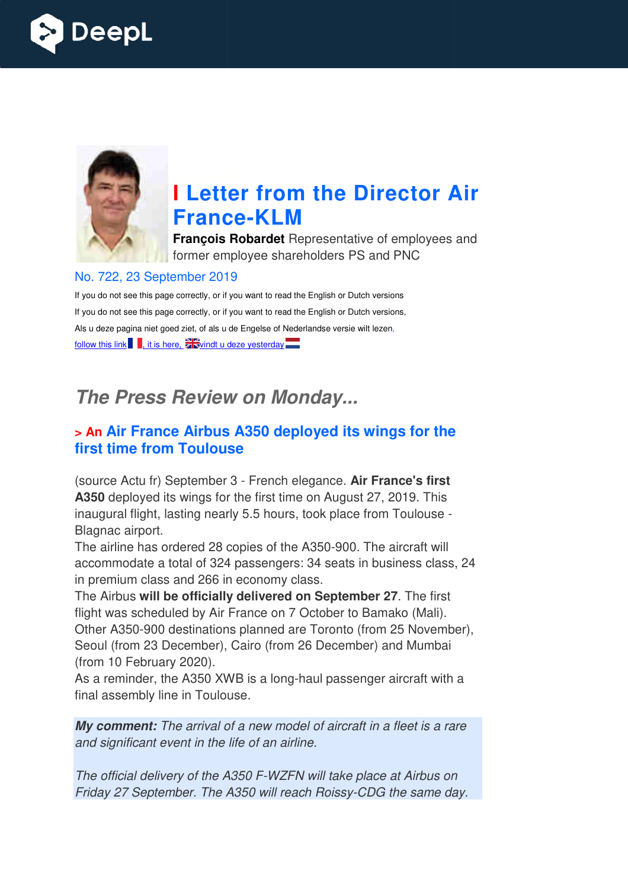



# **I Letter from the Director Air France France-KLM**

**François Robardet** Representative of employees and former employee shareholders PS and PNC

#### No. 722, 23 September 2019

If you do not see this page correctly, or if you want to read the English or Dutch versions If you do not see this page correctly, or if you want to read the English or Dutch versions, Als u deze pagina niet goed ziet, of als u de Engelse of Nederlandse versie wilt lezen, follow this link  $\blacksquare$ , it is here,  $\frac{1}{2}$  vindt u deze yesterday  $\blacksquare$ 

## *The Press Review on Monday...*

#### **> An Air France Airbus A350 deployed its wings for the first time from Toulouse**

(source Actu fr) September 3 - French elegance. **Air France's first A350** deployed its wings for the first time on August 27, 2019. This inaugural flight, lasting nearly 5.5 hours, took place from Toulouse - Blagnac airport.

The airline has ordered 28 copies of the A350-900. The aircraft will accommodate a total of 324 passengers: 34 seats in business class, 24 in premium class and 266 in economy class.

The Airbus **will be officially delivered on September 27** . The first flight was scheduled by Air France on 7 October to Bamako (Mali). Other A350-900 destinations planned are Toronto (from 25 November), Seoul (from 23 December), Cairo (from 26 December) and Mumbai (from 10 February 2020). heduled by Air France on 7 October to Bamako (Mali).<br>900 destinations planned are Toronto (from 25 November)<br>23 December), Cairo (from 26 December) and Mumbai<br>pruary 2020).<br>er, the A350 XWB is a long-haul passenger aircraf

As a reminder, the A350 XWB is a long-haul passenger aircraft with a final assembly line in Toulouse.

*My comment: The arrival of a new model of aircraft in a fleet is a rare and significant event in the life of an airline.* 

*The official delivery of the A350 F F-WZFN will take place at Airbus on Fhe official delivery of the A350 F-WZFN will take place at Airbus on<br>Friday 27 September. The A350 will reach Roissy-CDG the same day.*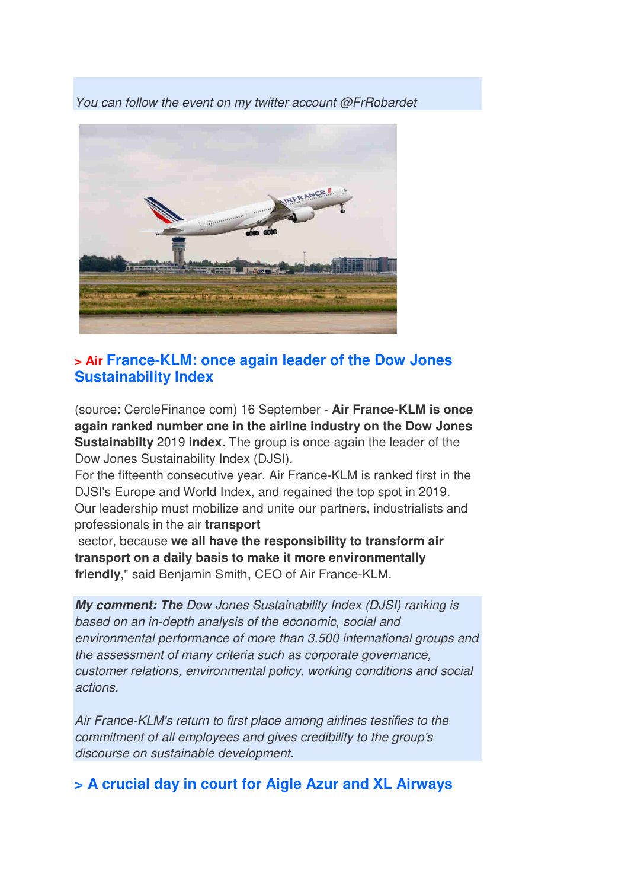*You can follow the event on my twitter account @FrRobardet* 



#### **> Air France-KLM: once again leader of the Dow Jones Sustainability Index**

(source: CercleFinance com) 16 September - **Air France-KLM is once again ranked number one in the airline industry on the Dow Jones Sustainabilty** 2019 **index.** The group is once again the leader of the Dow Jones Sustainability Index (DJSI).

For the fifteenth consecutive year, Air France-KLM is ranked first in the DJSI's Europe and World Index, and regained the top spot in 2019. Our leadership must mobilize and unite our partners, industrialists and professionals in the air **transport**

 sector, because **we all have the responsibility to transform air transport on a daily basis to make it more environmentally friendly,**" said Benjamin Smith, CEO of Air France-KLM.

*My comment: The Dow Jones Sustainability Index (DJSI) ranking is based on an in-depth analysis of the economic, social and environmental performance of more than 3,500 international groups and the assessment of many criteria such as corporate governance, customer relations, environmental policy, working conditions and social actions.* 

*Air France-KLM's return to first place among airlines testifies to the commitment of all employees and gives credibility to the group's discourse on sustainable development.* 

#### **> A crucial day in court for Aigle Azur and XL Airways**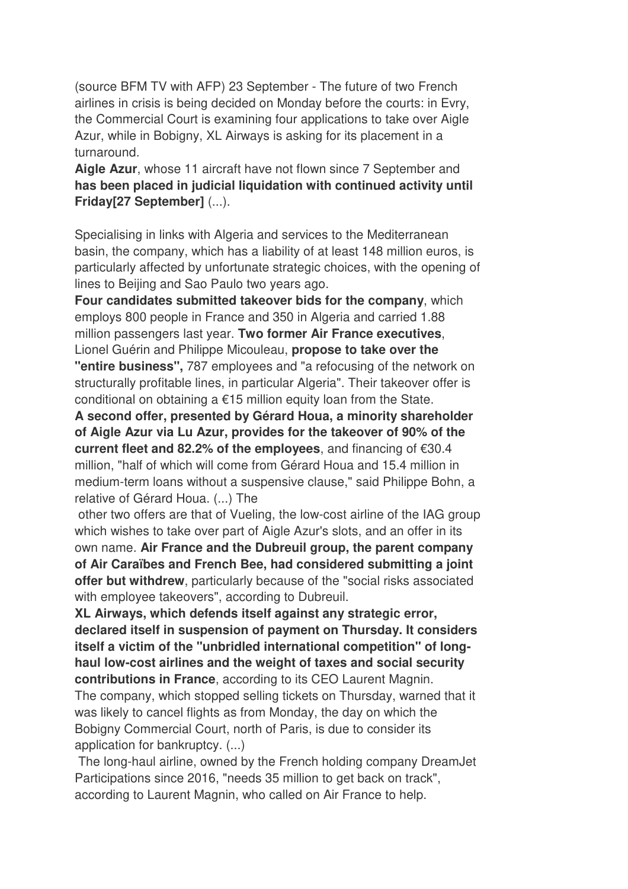(source BFM TV with AFP) 23 September - The future of two French airlines in crisis is being decided on Monday before the courts: in Evry, the Commercial Court is examining four applications to take over Aigle Azur, while in Bobigny, XL Airways is asking for its placement in a turnaround.

**Aigle Azur**, whose 11 aircraft have not flown since 7 September and **has been placed in judicial liquidation with continued activity until Friday[27 September]** (...).

Specialising in links with Algeria and services to the Mediterranean basin, the company, which has a liability of at least 148 million euros, is particularly affected by unfortunate strategic choices, with the opening of lines to Beijing and Sao Paulo two years ago.

**Four candidates submitted takeover bids for the company**, which employs 800 people in France and 350 in Algeria and carried 1.88 million passengers last year. **Two former Air France executives**, Lionel Guérin and Philippe Micouleau, **propose to take over the "entire business",** 787 employees and "a refocusing of the network on structurally profitable lines, in particular Algeria". Their takeover offer is conditional on obtaining a €15 million equity loan from the State.

**A second offer, presented by Gérard Houa, a minority shareholder of Aigle Azur via Lu Azur, provides for the takeover of 90% of the current fleet and 82.2% of the employees**, and financing of €30.4 million, "half of which will come from Gérard Houa and 15.4 million in medium-term loans without a suspensive clause," said Philippe Bohn, a relative of Gérard Houa. (...) The

 other two offers are that of Vueling, the low-cost airline of the IAG group which wishes to take over part of Aigle Azur's slots, and an offer in its own name. **Air France and the Dubreuil group, the parent company of Air Caraïbes and French Bee, had considered submitting a joint offer but withdrew**, particularly because of the "social risks associated with employee takeovers", according to Dubreuil.

**XL Airways, which defends itself against any strategic error, declared itself in suspension of payment on Thursday. It considers itself a victim of the "unbridled international competition" of longhaul low-cost airlines and the weight of taxes and social security contributions in France**, according to its CEO Laurent Magnin.

The company, which stopped selling tickets on Thursday, warned that it was likely to cancel flights as from Monday, the day on which the Bobigny Commercial Court, north of Paris, is due to consider its application for bankruptcy. (...)

 The long-haul airline, owned by the French holding company DreamJet Participations since 2016, "needs 35 million to get back on track", according to Laurent Magnin, who called on Air France to help.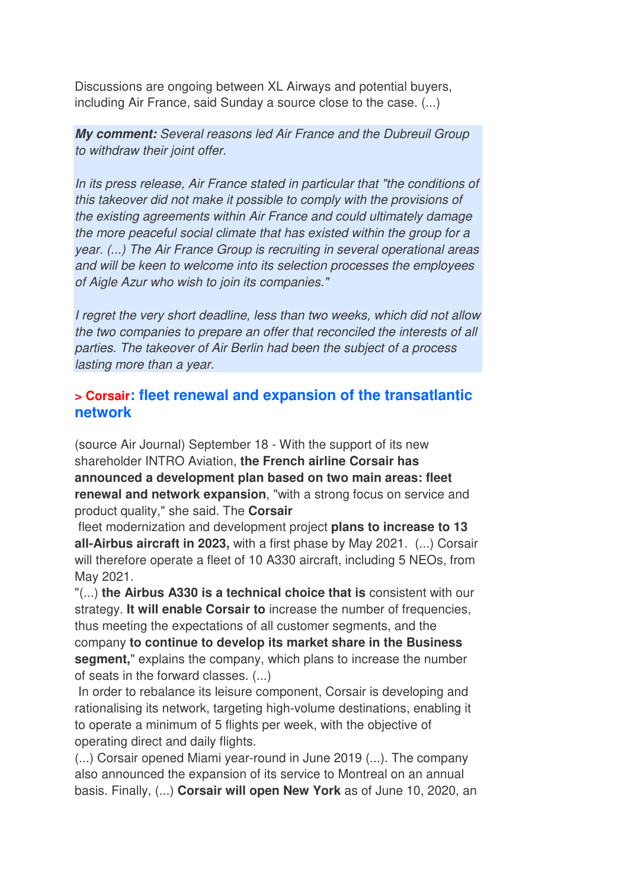Discussions are ongoing between XL Airways and potential buyers, including Air France, said Sunday a source close to the case. (...)

*My comment: Several reasons led Air France and the Dubreuil Group to withdraw their joint offer.* 

*In its press release, Air France stated in particular that "the conditions of this takeover did not make it possible to comply with the provisions of the existing agreements within Air France and could ultimately damage the more peaceful social climate that has existed within the group for a year. (...) The Air France Group is recruiting in several operational areas and will be keen to welcome into its selection processes the employees of Aigle Azur who wish to join its companies."* 

*I regret the very short deadline, less than two weeks, which did not allow the two companies to prepare an offer that reconciled the interests of all parties. The takeover of Air Berlin had been the subject of a process lasting more than a year.*

#### **> Corsair: fleet renewal and expansion of the transatlantic network**

(source Air Journal) September 18 - With the support of its new shareholder INTRO Aviation, **the French airline Corsair has announced a development plan based on two main areas: fleet renewal and network expansion**, "with a strong focus on service and product quality," she said. The **Corsair**

 fleet modernization and development project **plans to increase to 13 all-Airbus aircraft in 2023,** with a first phase by May 2021. (...) Corsair will therefore operate a fleet of 10 A330 aircraft, including 5 NEOs, from May 2021.

"(...) **the Airbus A330 is a technical choice that is** consistent with our strategy. **It will enable Corsair to** increase the number of frequencies, thus meeting the expectations of all customer segments, and the company **to continue to develop its market share in the Business segment,**" explains the company, which plans to increase the number of seats in the forward classes. (...)

 In order to rebalance its leisure component, Corsair is developing and rationalising its network, targeting high-volume destinations, enabling it to operate a minimum of 5 flights per week, with the objective of operating direct and daily flights.

(...) Corsair opened Miami year-round in June 2019 (...). The company also announced the expansion of its service to Montreal on an annual basis. Finally, (...) **Corsair will open New York** as of June 10, 2020, an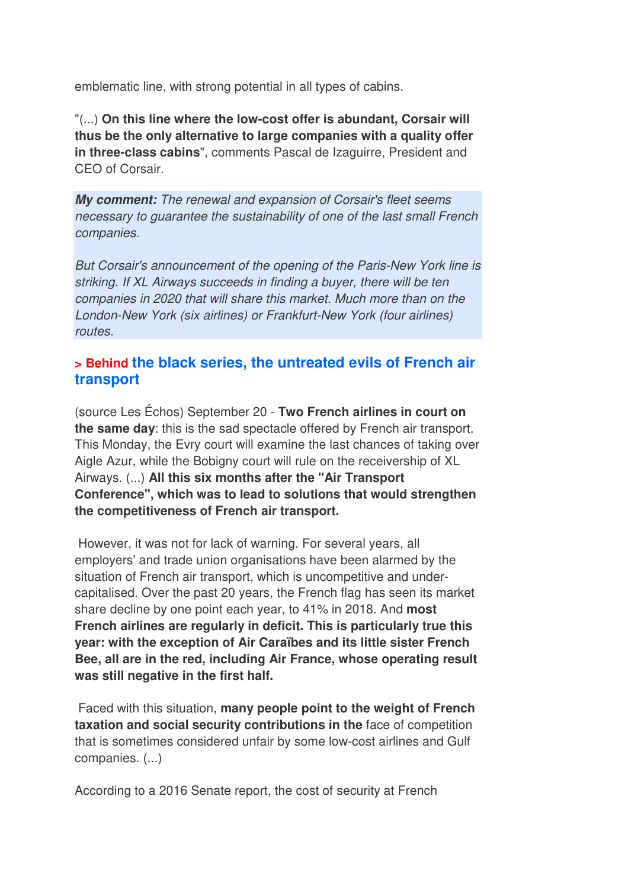emblematic line, with strong potential in all types of cabins.

"(...) **On this line where the low-cost offer is abundant, Corsair will thus be the only alternative to large companies with a quality offer in three-class cabins**", comments Pascal de Izaguirre, President and CEO of Corsair.

*My comment: The renewal and expansion of Corsair's fleet seems necessary to guarantee the sustainability of one of the last small French companies.* 

*But Corsair's announcement of the opening of the Paris-New York line is striking. If XL Airways succeeds in finding a buyer, there will be ten companies in 2020 that will share this market. Much more than on the London-New York (six airlines) or Frankfurt-New York (four airlines) routes.*

#### **> Behind the black series, the untreated evils of French air transport**

(source Les Échos) September 20 - **Two French airlines in court on the same day**: this is the sad spectacle offered by French air transport. This Monday, the Evry court will examine the last chances of taking over Aigle Azur, while the Bobigny court will rule on the receivership of XL Airways. (...) **All this six months after the "Air Transport Conference", which was to lead to solutions that would strengthen the competitiveness of French air transport.** 

 However, it was not for lack of warning. For several years, all employers' and trade union organisations have been alarmed by the situation of French air transport, which is uncompetitive and undercapitalised. Over the past 20 years, the French flag has seen its market share decline by one point each year, to 41% in 2018. And **most French airlines are regularly in deficit. This is particularly true this year: with the exception of Air Caraïbes and its little sister French Bee, all are in the red, including Air France, whose operating result was still negative in the first half.** 

 Faced with this situation, **many people point to the weight of French taxation and social security contributions in the** face of competition that is sometimes considered unfair by some low-cost airlines and Gulf companies. (...)

According to a 2016 Senate report, the cost of security at French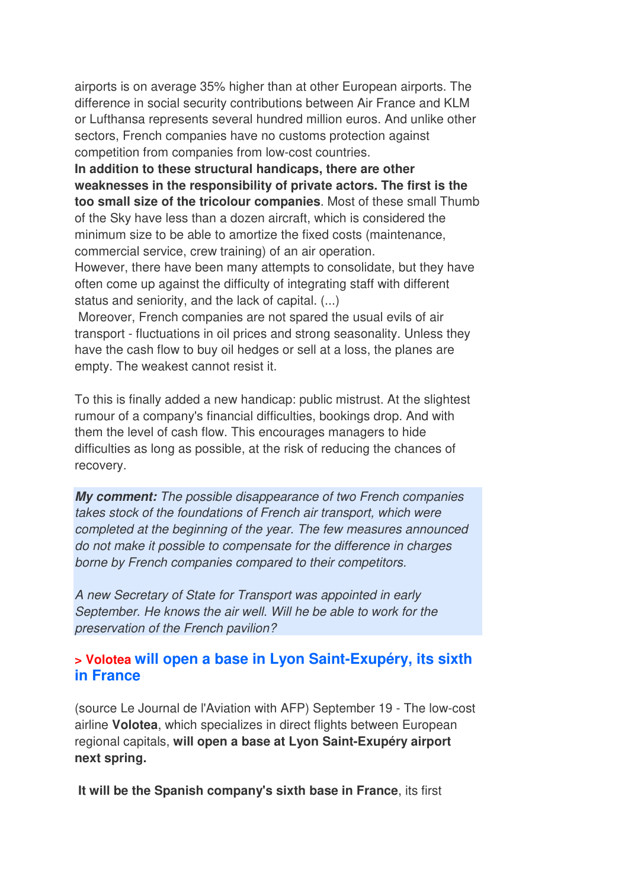airports is on average 35% higher than at other European airports. The difference in social security contributions between Air France and KLM or Lufthansa represents several hundred million euros. And unlike other sectors, French companies have no customs protection against competition from companies from low-cost countries.

**In addition to these structural handicaps, there are other weaknesses in the responsibility of private actors. The first is the too small size of the tricolour companies**. Most of these small Thumb of the Sky have less than a dozen aircraft, which is considered the minimum size to be able to amortize the fixed costs (maintenance, commercial service, crew training) of an air operation.

However, there have been many attempts to consolidate, but they have often come up against the difficulty of integrating staff with different status and seniority, and the lack of capital. (...)

 Moreover, French companies are not spared the usual evils of air transport - fluctuations in oil prices and strong seasonality. Unless they have the cash flow to buy oil hedges or sell at a loss, the planes are empty. The weakest cannot resist it.

To this is finally added a new handicap: public mistrust. At the slightest rumour of a company's financial difficulties, bookings drop. And with them the level of cash flow. This encourages managers to hide difficulties as long as possible, at the risk of reducing the chances of recovery.

*My comment: The possible disappearance of two French companies takes stock of the foundations of French air transport, which were completed at the beginning of the year. The few measures announced do not make it possible to compensate for the difference in charges borne by French companies compared to their competitors.* 

*A new Secretary of State for Transport was appointed in early September. He knows the air well. Will he be able to work for the preservation of the French pavilion?*

#### **> Volotea will open a base in Lyon Saint-Exupéry, its sixth in France**

(source Le Journal de l'Aviation with AFP) September 19 - The low-cost airline **Volotea**, which specializes in direct flights between European regional capitals, **will open a base at Lyon Saint-Exupéry airport next spring.** 

 **It will be the Spanish company's sixth base in France**, its first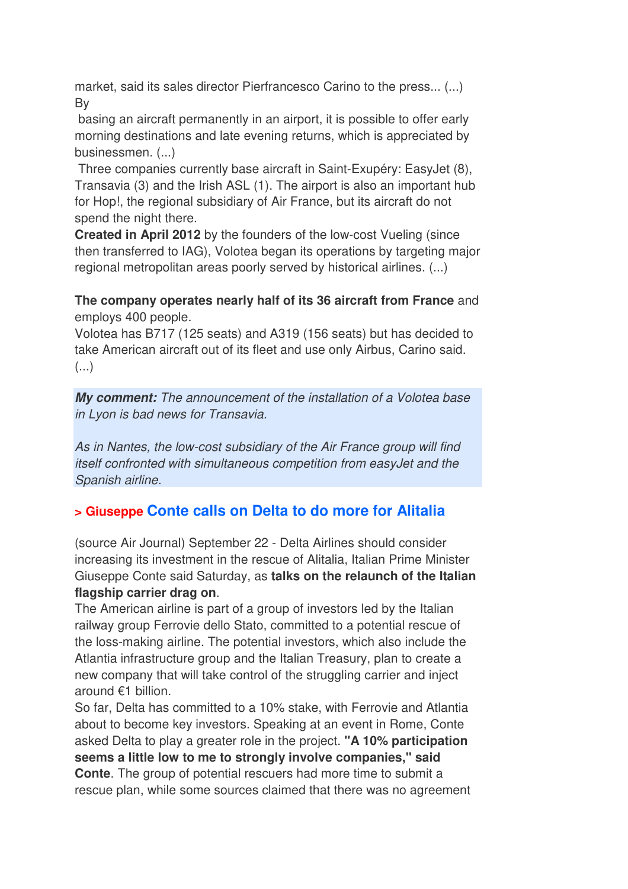market, said its sales director Pierfrancesco Carino to the press... (...) By

 basing an aircraft permanently in an airport, it is possible to offer early morning destinations and late evening returns, which is appreciated by businessmen. (...)

 Three companies currently base aircraft in Saint-Exupéry: EasyJet (8), Transavia (3) and the Irish ASL (1). The airport is also an important hub for Hop!, the regional subsidiary of Air France, but its aircraft do not spend the night there.

**Created in April 2012** by the founders of the low-cost Vueling (since then transferred to IAG), Volotea began its operations by targeting major regional metropolitan areas poorly served by historical airlines. (...)

#### **The company operates nearly half of its 36 aircraft from France** and employs 400 people.

Volotea has B717 (125 seats) and A319 (156 seats) but has decided to take American aircraft out of its fleet and use only Airbus, Carino said.  $(\ldots)$ 

*My comment: The announcement of the installation of a Volotea base in Lyon is bad news for Transavia.* 

*As in Nantes, the low-cost subsidiary of the Air France group will find itself confronted with simultaneous competition from easyJet and the Spanish airline.*

### **> Giuseppe Conte calls on Delta to do more for Alitalia**

(source Air Journal) September 22 - Delta Airlines should consider increasing its investment in the rescue of Alitalia, Italian Prime Minister Giuseppe Conte said Saturday, as **talks on the relaunch of the Italian flagship carrier drag on**.

The American airline is part of a group of investors led by the Italian railway group Ferrovie dello Stato, committed to a potential rescue of the loss-making airline. The potential investors, which also include the Atlantia infrastructure group and the Italian Treasury, plan to create a new company that will take control of the struggling carrier and inject around €1 billion.

So far, Delta has committed to a 10% stake, with Ferrovie and Atlantia about to become key investors. Speaking at an event in Rome, Conte asked Delta to play a greater role in the project. **"A 10% participation seems a little low to me to strongly involve companies," said Conte**. The group of potential rescuers had more time to submit a rescue plan, while some sources claimed that there was no agreement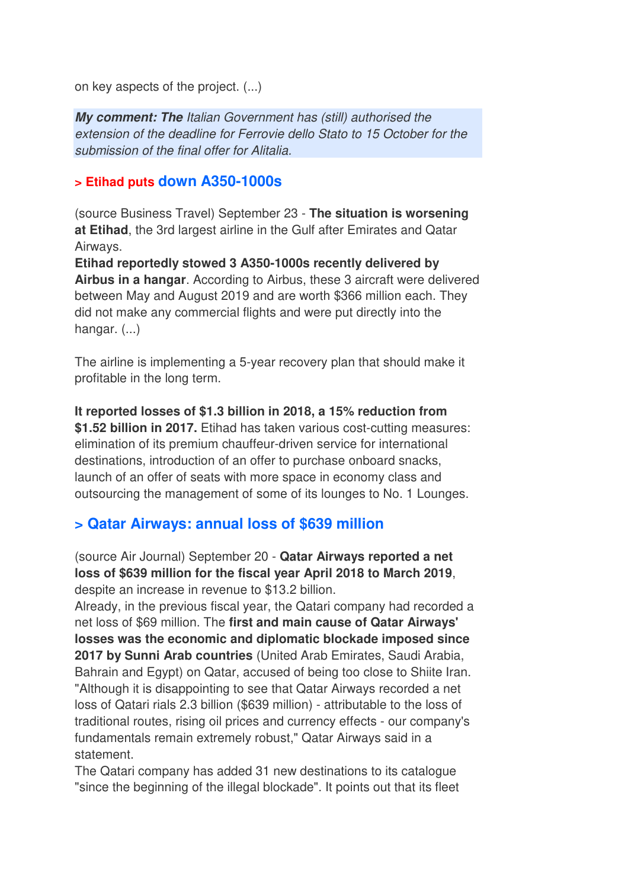on key aspects of the project. (...)

*My comment: The Italian Government has (still) authorised the extension of the deadline for Ferrovie dello Stato to 15 October for the submission of the final offer for Alitalia.*

#### **> Etihad puts down A350-1000s**

(source Business Travel) September 23 - **The situation is worsening at Etihad**, the 3rd largest airline in the Gulf after Emirates and Qatar Airways.

**Etihad reportedly stowed 3 A350-1000s recently delivered by Airbus in a hangar**. According to Airbus, these 3 aircraft were delivered between May and August 2019 and are worth \$366 million each. They did not make any commercial flights and were put directly into the hangar. (...)

The airline is implementing a 5-year recovery plan that should make it profitable in the long term.

**It reported losses of \$1.3 billion in 2018, a 15% reduction from**  \$1.52 billion in 2017. Etihad has taken various cost-cutting measures: elimination of its premium chauffeur-driven service for international destinations, introduction of an offer to purchase onboard snacks, launch of an offer of seats with more space in economy class and outsourcing the management of some of its lounges to No. 1 Lounges.

#### **> Qatar Airways: annual loss of \$639 million**

(source Air Journal) September 20 - **Qatar Airways reported a net loss of \$639 million for the fiscal year April 2018 to March 2019**, despite an increase in revenue to \$13.2 billion.

Already, in the previous fiscal year, the Qatari company had recorded a net loss of \$69 million. The **first and main cause of Qatar Airways' losses was the economic and diplomatic blockade imposed since 2017 by Sunni Arab countries** (United Arab Emirates, Saudi Arabia, Bahrain and Egypt) on Qatar, accused of being too close to Shiite Iran. "Although it is disappointing to see that Qatar Airways recorded a net loss of Qatari rials 2.3 billion (\$639 million) - attributable to the loss of traditional routes, rising oil prices and currency effects - our company's fundamentals remain extremely robust," Qatar Airways said in a statement.

The Qatari company has added 31 new destinations to its catalogue "since the beginning of the illegal blockade". It points out that its fleet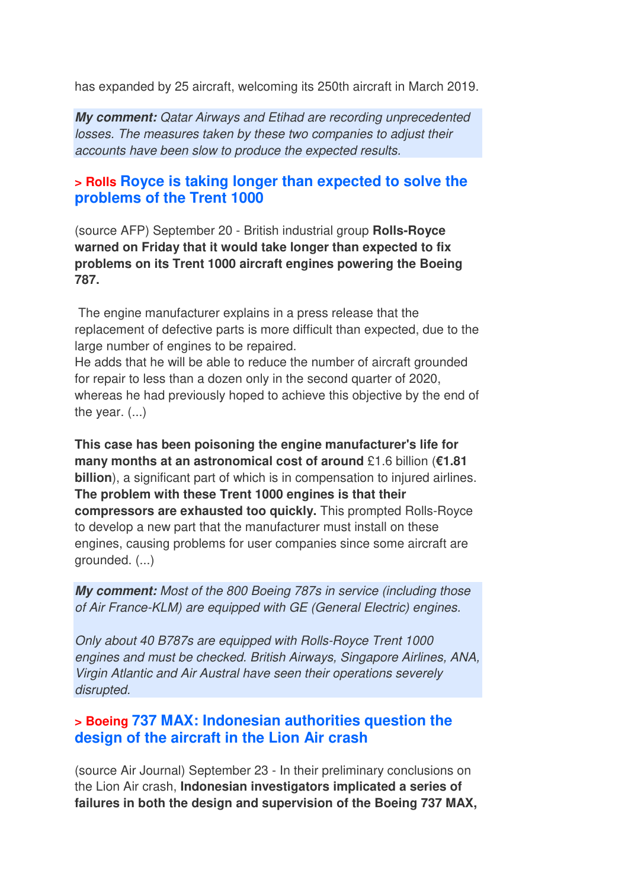has expanded by 25 aircraft, welcoming its 250th aircraft in March 2019.

*My comment: Qatar Airways and Etihad are recording unprecedented losses. The measures taken by these two companies to adjust their accounts have been slow to produce the expected results.*

#### **> Rolls Royce is taking longer than expected to solve the problems of the Trent 1000**

(source AFP) September 20 - British industrial group **Rolls-Royce warned on Friday that it would take longer than expected to fix problems on its Trent 1000 aircraft engines powering the Boeing 787.** 

 The engine manufacturer explains in a press release that the replacement of defective parts is more difficult than expected, due to the large number of engines to be repaired.

He adds that he will be able to reduce the number of aircraft grounded for repair to less than a dozen only in the second quarter of 2020, whereas he had previously hoped to achieve this objective by the end of the year.  $(...)$ 

**This case has been poisoning the engine manufacturer's life for many months at an astronomical cost of around** £1.6 billion (**€1.81 billion**), a significant part of which is in compensation to injured airlines. **The problem with these Trent 1000 engines is that their compressors are exhausted too quickly.** This prompted Rolls-Royce to develop a new part that the manufacturer must install on these engines, causing problems for user companies since some aircraft are grounded. (...)

*My comment: Most of the 800 Boeing 787s in service (including those of Air France-KLM) are equipped with GE (General Electric) engines.* 

*Only about 40 B787s are equipped with Rolls-Royce Trent 1000 engines and must be checked. British Airways, Singapore Airlines, ANA, Virgin Atlantic and Air Austral have seen their operations severely disrupted.* 

#### **> Boeing 737 MAX: Indonesian authorities question the design of the aircraft in the Lion Air crash**

(source Air Journal) September 23 - In their preliminary conclusions on the Lion Air crash, **Indonesian investigators implicated a series of failures in both the design and supervision of the Boeing 737 MAX,**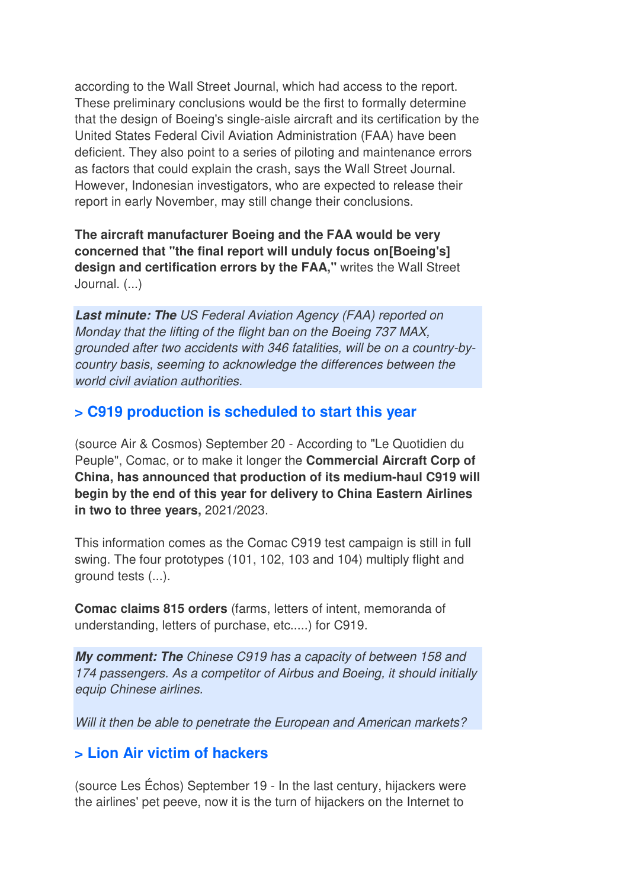according to the Wall Street Journal, which had access to the report. These preliminary conclusions would be the first to formally determine that the design of Boeing's single-aisle aircraft and its certification by the United States Federal Civil Aviation Administration (FAA) have been deficient. They also point to a series of piloting and maintenance errors as factors that could explain the crash, says the Wall Street Journal. However, Indonesian investigators, who are expected to release their report in early November, may still change their conclusions.

**The aircraft manufacturer Boeing and the FAA would be very concerned that "the final report will unduly focus on[Boeing's] design and certification errors by the FAA,"** writes the Wall Street Journal. (...)

*Last minute: The US Federal Aviation Agency (FAA) reported on Monday that the lifting of the flight ban on the Boeing 737 MAX, grounded after two accidents with 346 fatalities, will be on a country-bycountry basis, seeming to acknowledge the differences between the world civil aviation authorities.*

#### **> C919 production is scheduled to start this year**

(source Air & Cosmos) September 20 - According to "Le Quotidien du Peuple", Comac, or to make it longer the **Commercial Aircraft Corp of China, has announced that production of its medium-haul C919 will begin by the end of this year for delivery to China Eastern Airlines in two to three years,** 2021/2023.

This information comes as the Comac C919 test campaign is still in full swing. The four prototypes (101, 102, 103 and 104) multiply flight and ground tests (...).

**Comac claims 815 orders** (farms, letters of intent, memoranda of understanding, letters of purchase, etc.....) for C919.

*My comment: The Chinese C919 has a capacity of between 158 and 174 passengers. As a competitor of Airbus and Boeing, it should initially equip Chinese airlines.* 

*Will it then be able to penetrate the European and American markets?*

#### **> Lion Air victim of hackers**

(source Les Échos) September 19 - In the last century, hijackers were the airlines' pet peeve, now it is the turn of hijackers on the Internet to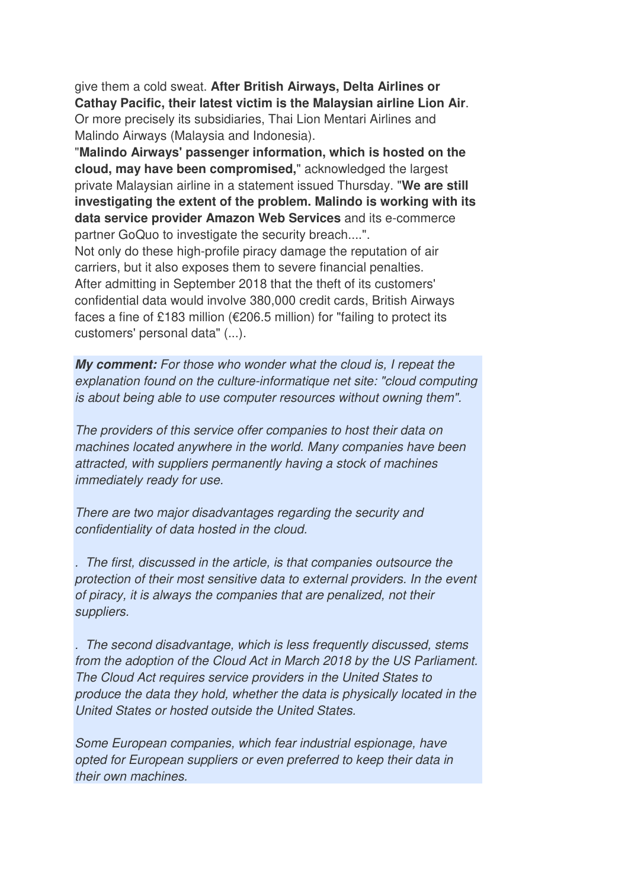give them a cold sweat. **After British Airways, Delta Airlines or Cathay Pacific, their latest victim is the Malaysian airline Lion Air**. Or more precisely its subsidiaries, Thai Lion Mentari Airlines and Malindo Airways (Malaysia and Indonesia).

"**Malindo Airways' passenger information, which is hosted on the cloud, may have been compromised,**" acknowledged the largest private Malaysian airline in a statement issued Thursday. "**We are still investigating the extent of the problem. Malindo is working with its data service provider Amazon Web Services** and its e-commerce partner GoQuo to investigate the security breach....".

Not only do these high-profile piracy damage the reputation of air carriers, but it also exposes them to severe financial penalties. After admitting in September 2018 that the theft of its customers' confidential data would involve 380,000 credit cards, British Airways faces a fine of £183 million ( $\epsilon$ 206.5 million) for "failing to protect its customers' personal data" (...).

*My comment: For those who wonder what the cloud is, I repeat the explanation found on the culture-informatique net site: "cloud computing is about being able to use computer resources without owning them".* 

*The providers of this service offer companies to host their data on machines located anywhere in the world. Many companies have been attracted, with suppliers permanently having a stock of machines immediately ready for use.* 

*There are two major disadvantages regarding the security and confidentiality of data hosted in the cloud.* 

*. The first, discussed in the article, is that companies outsource the protection of their most sensitive data to external providers. In the event of piracy, it is always the companies that are penalized, not their suppliers.* 

*. The second disadvantage, which is less frequently discussed, stems from the adoption of the Cloud Act in March 2018 by the US Parliament. The Cloud Act requires service providers in the United States to produce the data they hold, whether the data is physically located in the United States or hosted outside the United States.* 

*Some European companies, which fear industrial espionage, have opted for European suppliers or even preferred to keep their data in their own machines.*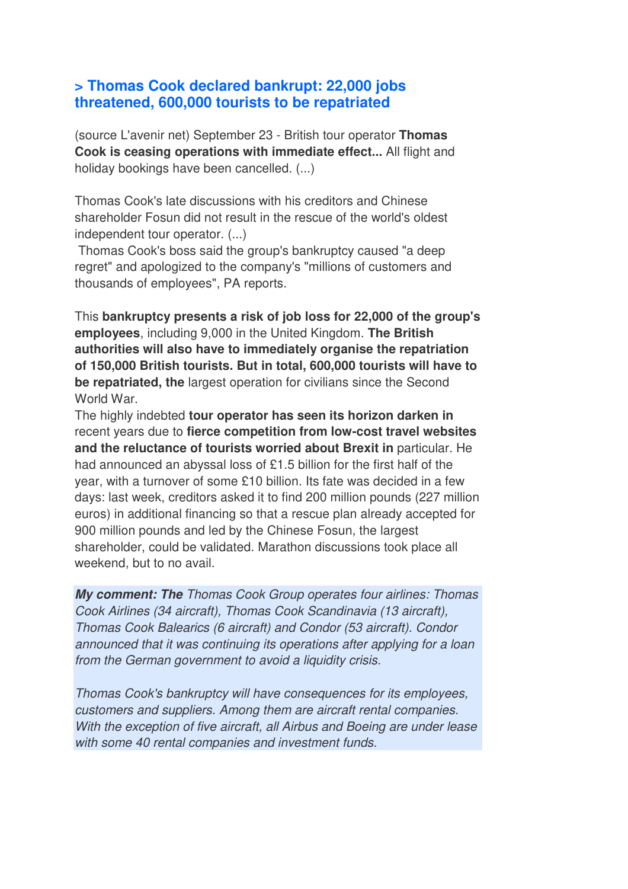#### **> Thomas Cook declared bankrupt: 22,000 jobs threatened, 600,000 tourists to be repatriated**

(source L'avenir net) September 23 - British tour operator **Thomas Cook is ceasing operations with immediate effect...** All flight and holiday bookings have been cancelled. (...)

Thomas Cook's late discussions with his creditors and Chinese shareholder Fosun did not result in the rescue of the world's oldest independent tour operator. (...)

 Thomas Cook's boss said the group's bankruptcy caused "a deep regret" and apologized to the company's "millions of customers and thousands of employees", PA reports.

This **bankruptcy presents a risk of job loss for 22,000 of the group's employees**, including 9,000 in the United Kingdom. **The British authorities will also have to immediately organise the repatriation of 150,000 British tourists. But in total, 600,000 tourists will have to be repatriated, the** largest operation for civilians since the Second World War.

The highly indebted **tour operator has seen its horizon darken in** recent years due to **fierce competition from low-cost travel websites and the reluctance of tourists worried about Brexit in** particular. He had announced an abyssal loss of £1.5 billion for the first half of the year, with a turnover of some £10 billion. Its fate was decided in a few days: last week, creditors asked it to find 200 million pounds (227 million euros) in additional financing so that a rescue plan already accepted for 900 million pounds and led by the Chinese Fosun, the largest shareholder, could be validated. Marathon discussions took place all weekend, but to no avail.

*My comment: The Thomas Cook Group operates four airlines: Thomas Cook Airlines (34 aircraft), Thomas Cook Scandinavia (13 aircraft), Thomas Cook Balearics (6 aircraft) and Condor (53 aircraft). Condor announced that it was continuing its operations after applying for a loan from the German government to avoid a liquidity crisis.* 

*Thomas Cook's bankruptcy will have consequences for its employees, customers and suppliers. Among them are aircraft rental companies. With the exception of five aircraft, all Airbus and Boeing are under lease with some 40 rental companies and investment funds.*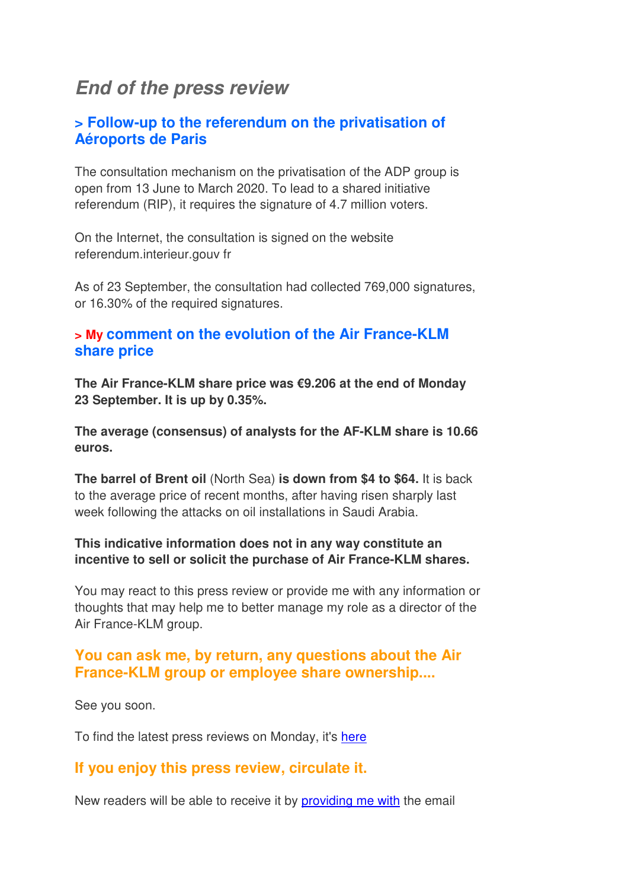## *End of the press review*

#### **> Follow-up to the referendum on the privatisation of Aéroports de Paris**

The consultation mechanism on the privatisation of the ADP group is open from 13 June to March 2020. To lead to a shared initiative referendum (RIP), it requires the signature of 4.7 million voters.

On the Internet, the consultation is signed on the website referendum.interieur.gouv fr

As of 23 September, the consultation had collected 769,000 signatures, or 16.30% of the required signatures.

#### **> My comment on the evolution of the Air France-KLM share price**

**The Air France-KLM share price was €9.206 at the end of Monday 23 September. It is up by 0.35%.**

**The average (consensus) of analysts for the AF-KLM share is 10.66 euros.**

**The barrel of Brent oil** (North Sea) **is down from \$4 to \$64.** It is back to the average price of recent months, after having risen sharply last week following the attacks on oil installations in Saudi Arabia.

#### **This indicative information does not in any way constitute an incentive to sell or solicit the purchase of Air France-KLM shares.**

You may react to this press review or provide me with any information or thoughts that may help me to better manage my role as a director of the Air France-KLM group.

#### **You can ask me, by return, any questions about the Air France-KLM group or employee share ownership....**

See you soon.

To find the latest press reviews on Monday, it's here

#### **If you enjoy this press review, circulate it.**

New readers will be able to receive it by providing me with the email